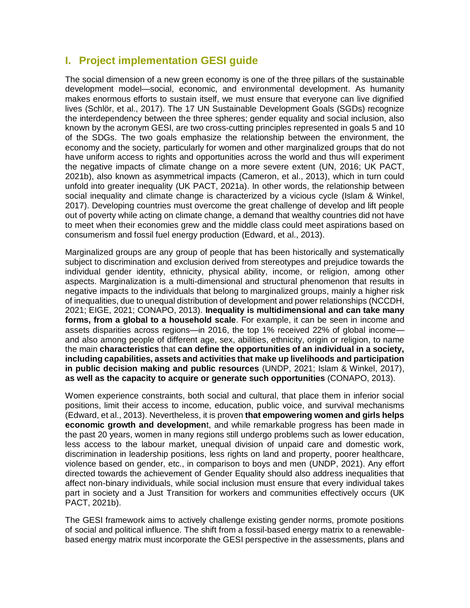## **I. Project implementation GESI guide**

The social dimension of a new green economy is one of the three pillars of the sustainable development model—social, economic, and environmental development. As humanity makes enormous efforts to sustain itself, we must ensure that everyone can live dignified lives (Schlör, et al., 2017). The 17 UN Sustainable Development Goals (SGDs) recognize the interdependency between the three spheres; gender equality and social inclusion, also known by the acronym GESI, are two cross-cutting principles represented in goals 5 and 10 of the SDGs. The two goals emphasize the relationship between the environment, the economy and the society, particularly for women and other marginalized groups that do not have uniform access to rights and opportunities across the world and thus will experiment the negative impacts of climate change on a more severe extent (UN, 2016; UK PACT, 2021b), also known as asymmetrical impacts (Cameron, et al., 2013), which in turn could unfold into greater inequality (UK PACT, 2021a). In other words, the relationship between social inequality and climate change is characterized by a vicious cycle (Islam & Winkel, 2017). Developing countries must overcome the great challenge of develop and lift people out of poverty while acting on climate change, a demand that wealthy countries did not have to meet when their economies grew and the middle class could meet aspirations based on consumerism and fossil fuel energy production (Edward, et al., 2013).

Marginalized groups are any group of people that has been historically and systematically subject to discrimination and exclusion derived from stereotypes and prejudice towards the individual gender identity, ethnicity, physical ability, income, or religion, among other aspects. Marginalization is a multi-dimensional and structural phenomenon that results in negative impacts to the individuals that belong to marginalized groups, mainly a higher risk of inequalities, due to unequal distribution of development and power relationships (NCCDH, 2021; EIGE, 2021; CONAPO, 2013). **Inequality is multidimensional and can take many forms, from a global to a household scale**. For example, it can be seen in income and assets disparities across regions—in 2016, the top 1% received 22% of global income and also among people of different age, sex, abilities, ethnicity, origin or religion, to name the main **characteristics** that **can define the opportunities of an individual in a society, including capabilities, assets and activities that make up livelihoods and participation in public decision making and public resources** (UNDP, 2021; Islam & Winkel, 2017), **as well as the capacity to acquire or generate such opportunities** (CONAPO, 2013).

Women experience constraints, both social and cultural, that place them in inferior social positions, limit their access to income, education, public voice, and survival mechanisms (Edward, et al., 2013). Nevertheless, it is proven **that empowering women and girls helps economic growth and developmen**t, and while remarkable progress has been made in the past 20 years, women in many regions still undergo problems such as lower education, less access to the labour market, unequal division of unpaid care and domestic work, discrimination in leadership positions, less rights on land and property, poorer healthcare, violence based on gender, etc., in comparison to boys and men (UNDP, 2021). Any effort directed towards the achievement of Gender Equality should also address inequalities that affect non-binary individuals, while social inclusion must ensure that every individual takes part in society and a Just Transition for workers and communities effectively occurs (UK PACT, 2021b).

The GESI framework aims to actively challenge existing gender norms, promote positions of social and political influence. The shift from a fossil-based energy matrix to a renewablebased energy matrix must incorporate the GESI perspective in the assessments, plans and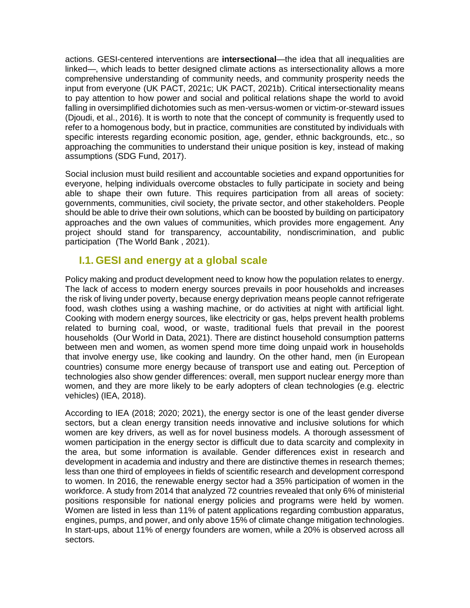actions. GESI-centered interventions are **intersectional**—the idea that all inequalities are linked—, which leads to better designed climate actions as intersectionality allows a more comprehensive understanding of community needs, and community prosperity needs the input from everyone (UK PACT, 2021c; UK PACT, 2021b). Critical intersectionality means to pay attention to how power and social and political relations shape the world to avoid falling in oversimplified dichotomies such as men-versus-women or victim-or-steward issues (Djoudi, et al., 2016). It is worth to note that the concept of community is frequently used to refer to a homogenous body, but in practice, communities are constituted by individuals with specific interests regarding economic position, age, gender, ethnic backgrounds, etc., so approaching the communities to understand their unique position is key, instead of making assumptions (SDG Fund, 2017).

Social inclusion must build resilient and accountable societies and expand opportunities for everyone, helping individuals overcome obstacles to fully participate in society and being able to shape their own future. This requires participation from all areas of society: governments, communities, civil society, the private sector, and other stakeholders. People should be able to drive their own solutions, which can be boosted by building on participatory approaches and the own values of communities, which provides more engagement. Any project should stand for transparency, accountability, nondiscrimination, and public participation (The World Bank , 2021).

## **I.1. GESI and energy at a global scale**

Policy making and product development need to know how the population relates to energy. The lack of access to modern energy sources prevails in poor households and increases the risk of living under poverty, because energy deprivation means people cannot refrigerate food, wash clothes using a washing machine, or do activities at night with artificial light. Cooking with modern energy sources, like electricity or gas, helps prevent health problems related to burning coal, wood, or waste, traditional fuels that prevail in the poorest households (Our World in Data, 2021). There are distinct household consumption patterns between men and women, as women spend more time doing unpaid work in households that involve energy use, like cooking and laundry. On the other hand, men (in European countries) consume more energy because of transport use and eating out. Perception of technologies also show gender differences: overall, men support nuclear energy more than women, and they are more likely to be early adopters of clean technologies (e.g. electric vehicles) (IEA, 2018).

According to IEA (2018; 2020; 2021), the energy sector is one of the least gender diverse sectors, but a clean energy transition needs innovative and inclusive solutions for which women are key drivers, as well as for novel business models. A thorough assessment of women participation in the energy sector is difficult due to data scarcity and complexity in the area, but some information is available. Gender differences exist in research and development in academia and industry and there are distinctive themes in research themes; less than one third of employees in fields of scientific research and development correspond to women. In 2016, the renewable energy sector had a 35% participation of women in the workforce. A study from 2014 that analyzed 72 countries revealed that only 6% of ministerial positions responsible for national energy policies and programs were held by women. Women are listed in less than 11% of patent applications regarding combustion apparatus, engines, pumps, and power, and only above 15% of climate change mitigation technologies. In start-ups, about 11% of energy founders are women, while a 20% is observed across all sectors.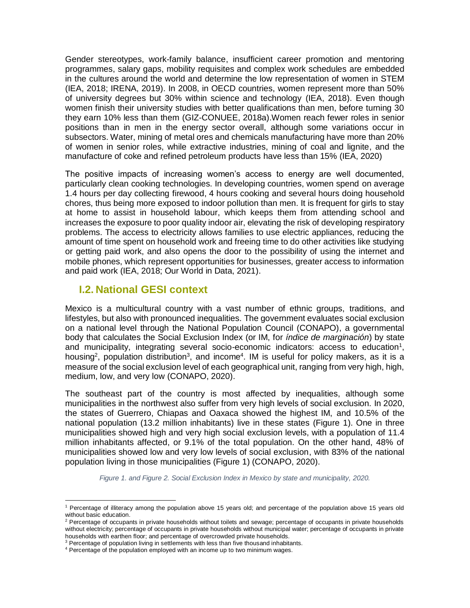Gender stereotypes, work-family balance, insufficient career promotion and mentoring programmes, salary gaps, mobility requisites and complex work schedules are embedded in the cultures around the world and determine the low representation of women in STEM (IEA, 2018; IRENA, 2019). In 2008, in OECD countries, women represent more than 50% of university degrees but 30% within science and technology (IEA, 2018). Even though women finish their university studies with better qualifications than men, before turning 30 they earn 10% less than them (GIZ-CONUEE, 2018a).Women reach fewer roles in senior positions than in men in the energy sector overall, although some variations occur in subsectors. Water, mining of metal ores and chemicals manufacturing have more than 20% of women in senior roles, while extractive industries, mining of coal and lignite, and the manufacture of coke and refined petroleum products have less than 15% (IEA, 2020)

The positive impacts of increasing women's access to energy are well documented, particularly clean cooking technologies. In developing countries, women spend on average 1.4 hours per day collecting firewood, 4 hours cooking and several hours doing household chores, thus being more exposed to indoor pollution than men. It is frequent for girls to stay at home to assist in household labour, which keeps them from attending school and increases the exposure to poor quality indoor air, elevating the risk of developing respiratory problems. The access to electricity allows families to use electric appliances, reducing the amount of time spent on household work and freeing time to do other activities like studying or getting paid work, and also opens the door to the possibility of using the internet and mobile phones, which represent opportunities for businesses, greater access to information and paid work (IEA, 2018; Our World in Data, 2021).

#### **I.2. National GESI context**

<span id="page-2-0"></span>

Mexico is a multicultural country with a vast number of ethnic groups, traditions, and lifestyles, but also with pronounced inequalities. The government evaluates social exclusion on a national level through the National Population Council (CONAPO), a governmental body that calculates the Social Exclusion Index (or IM, for *índice de marginación*) by state and municipality, integrating several socio-economic indicators: access to education<sup>1</sup>, housing<sup>2</sup>, population distribution<sup>3</sup>, and income<sup>4</sup>. IM is useful for policy makers, as it is a measure of the social exclusion level of each geographical unit, ranging from very high, high, medium, low, and very low (CONAPO, 2020).

The southeast part of the country is most affected by inequalities, although some municipalities in the northwest also suffer from very high levels of social exclusion. In 2020, the states of Guerrero, Chiapas and Oaxaca showed the highest IM, and 10.5% of the national population (13.2 million inhabitants) live in these states [\(Figure 1\)](#page-2-0). One in three municipalities showed high and very high social exclusion levels, with a population of 11.4 million inhabitants affected, or 9.1% of the total population. On the other hand, 48% of municipalities showed low and very low levels of social exclusion, with 83% of the national population living in those municipalities [\(Figure 1\)](#page-2-0) (CONAPO, 2020).

*Figure 1. and Figure 2. Social Exclusion Index in Mexico by state and municipality, 2020.*

<sup>1</sup> Percentage of illiteracy among the population above 15 years old; and percentage of the population above 15 years old without basic education.

<sup>&</sup>lt;sup>2</sup> Percentage of occupants in private households without toilets and sewage; percentage of occupants in private households without electricity; percentage of occupants in private households without municipal water; percentage of occupants in private households with earthen floor; and percentage of overcrowded private households.

<sup>&</sup>lt;sup>3</sup> Percentage of population living in settlements with less than five thousand inhabitants.

<sup>&</sup>lt;sup>4</sup> Percentage of the population employed with an income up to two minimum wages.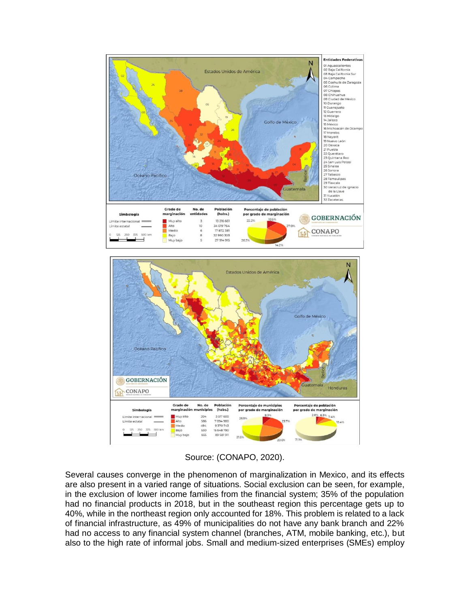



Source: (CONAPO, 2020).

Several causes converge in the phenomenon of marginalization in Mexico, and its effects are also present in a varied range of situations. Social exclusion can be seen, for example, in the exclusion of lower income families from the financial system; 35% of the population had no financial products in 2018, but in the southeast region this percentage gets up to 40%, while in the northeast region only accounted for 18%. This problem is related to a lack of financial infrastructure, as 49% of municipalities do not have any bank branch and 22% had no access to any financial system channel (branches, ATM, mobile banking, etc.), but also to the high rate of informal jobs. Small and medium-sized enterprises (SMEs) employ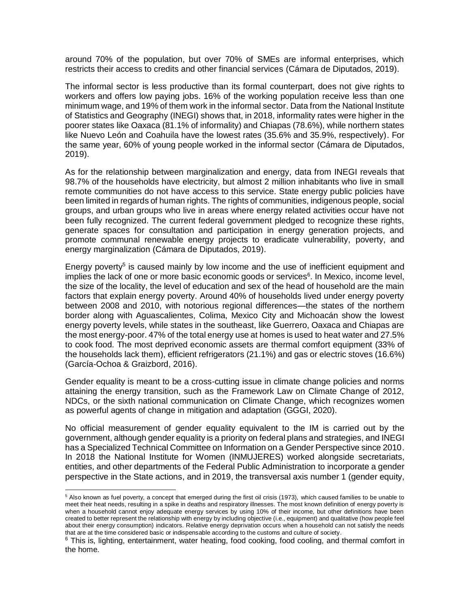around 70% of the population, but over 70% of SMEs are informal enterprises, which restricts their access to credits and other financial services (Cámara de Diputados, 2019).

The informal sector is less productive than its formal counterpart, does not give rights to workers and offers low paying jobs. 16% of the working population receive less than one minimum wage, and 19% of them work in the informal sector. Data from the National Institute of Statistics and Geography (INEGI) shows that, in 2018, informality rates were higher in the poorer states like Oaxaca (81.1% of informality) and Chiapas (78.6%), while northern states like Nuevo León and Coahuila have the lowest rates (35.6% and 35.9%, respectively). For the same year, 60% of young people worked in the informal sector (Cámara de Diputados, 2019).

As for the relationship between marginalization and energy, data from INEGI reveals that 98.7% of the households have electricity, but almost 2 million inhabitants who live in small remote communities do not have access to this service. State energy public policies have been limited in regards of human rights. The rights of communities, indigenous people, social groups, and urban groups who live in areas where energy related activities occur have not been fully recognized. The current federal government pledged to recognize these rights, generate spaces for consultation and participation in energy generation projects, and promote communal renewable energy projects to eradicate vulnerability, poverty, and energy marginalization (Cámara de Diputados, 2019).

Energy poverty<sup>5</sup> is caused mainly by low income and the use of inefficient equipment and implies the lack of one or more basic economic goods or services<sup>6</sup>. In Mexico, income level, the size of the locality, the level of education and sex of the head of household are the main factors that explain energy poverty. Around 40% of households lived under energy poverty between 2008 and 2010, with notorious regional differences—the states of the northern border along with Aguascalientes, Colima, Mexico City and Michoacán show the lowest energy poverty levels, while states in the southeast, like Guerrero, Oaxaca and Chiapas are the most energy-poor. 47% of the total energy use at homes is used to heat water and 27.5% to cook food. The most deprived economic assets are thermal comfort equipment (33% of the households lack them), efficient refrigerators (21.1%) and gas or electric stoves (16.6%) (García-Ochoa & Graizbord, 2016).

Gender equality is meant to be a cross-cutting issue in climate change policies and norms attaining the energy transition, such as the Framework Law on Climate Change of 2012, NDCs, or the sixth national communication on Climate Change, which recognizes women as powerful agents of change in mitigation and adaptation (GGGI, 2020).

No official measurement of gender equality equivalent to the IM is carried out by the government, although gender equality is a priority on federal plans and strategies, and INEGI has a Specialized Technical Committee on Information on a Gender Perspective since 2010. In 2018 the National Institute for Women (INMUJERES) worked alongside secretariats, entities, and other departments of the Federal Public Administration to incorporate a gender perspective in the State actions, and in 2019, the transversal axis number 1 (gender equity,

 $\overline{a}$ 

<sup>5</sup> Also known as fuel poverty, a concept that emerged during the first oil crisis (1973), which caused families to be unable to meet their heat needs, resulting in a spike in deaths and respiratory illnesses. The most known definition of energy poverty is when a household cannot enjoy adequate energy services by using 10% of their income, but other definitions have been created to better represent the relationship with energy by including objective (i.e., equipment) and qualitative (how people feel about their energy consumption) indicators. Relative energy deprivation occurs when a household can not satisfy the needs that are at the time considered basic or indispensable according to the customs and culture of society.

 $6$  This is, lighting, entertainment, water heating, food cooking, food cooling, and thermal comfort in the home.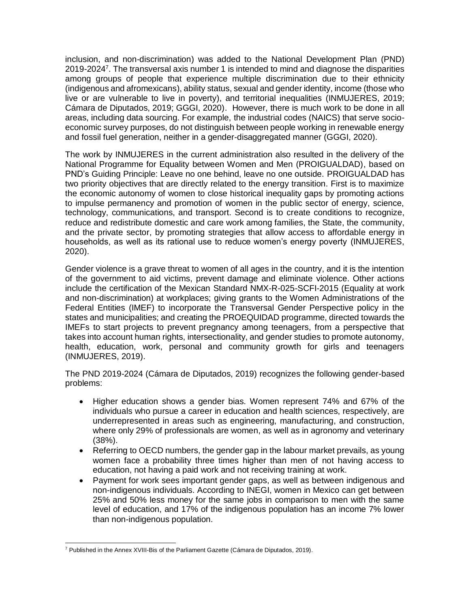inclusion, and non-discrimination) was added to the National Development Plan (PND)  $2019 - 2024<sup>7</sup>$ . The transversal axis number 1 is intended to mind and diagnose the disparities among groups of people that experience multiple discrimination due to their ethnicity (indigenous and afromexicans), ability status, sexual and gender identity, income (those who live or are vulnerable to live in poverty), and territorial inequalities (INMUJERES, 2019; Cámara de Diputados, 2019; GGGI, 2020). However, there is much work to be done in all areas, including data sourcing. For example, the industrial codes (NAICS) that serve socioeconomic survey purposes, do not distinguish between people working in renewable energy and fossil fuel generation, neither in a gender-disaggregated manner (GGGI, 2020).

The work by INMUJERES in the current administration also resulted in the delivery of the National Programme for Equality between Women and Men (PROIGUALDAD), based on PND's Guiding Principle: Leave no one behind, leave no one outside. PROIGUALDAD has two priority objectives that are directly related to the energy transition. First is to maximize the economic autonomy of women to close historical inequality gaps by promoting actions to impulse permanency and promotion of women in the public sector of energy, science, technology, communications, and transport. Second is to create conditions to recognize, reduce and redistribute domestic and care work among families, the State, the community, and the private sector, by promoting strategies that allow access to affordable energy in households, as well as its rational use to reduce women's energy poverty (INMUJERES, 2020).

Gender violence is a grave threat to women of all ages in the country, and it is the intention of the government to aid victims, prevent damage and eliminate violence. Other actions include the certification of the Mexican Standard NMX-R-025-SCFI-2015 (Equality at work and non-discrimination) at workplaces; giving grants to the Women Administrations of the Federal Entities (IMEF) to incorporate the Transversal Gender Perspective policy in the states and municipalities; and creating the PROEQUIDAD programme, directed towards the IMEFs to start projects to prevent pregnancy among teenagers, from a perspective that takes into account human rights, intersectionality, and gender studies to promote autonomy, health, education, work, personal and community growth for girls and teenagers (INMUJERES, 2019).

The PND 2019-2024 (Cámara de Diputados, 2019) recognizes the following gender-based problems:

- Higher education shows a gender bias. Women represent 74% and 67% of the individuals who pursue a career in education and health sciences, respectively, are underrepresented in areas such as engineering, manufacturing, and construction, where only 29% of professionals are women, as well as in agronomy and veterinary (38%).
- Referring to OECD numbers, the gender gap in the labour market prevails, as young women face a probability three times higher than men of not having access to education, not having a paid work and not receiving training at work.
- Payment for work sees important gender gaps, as well as between indigenous and non-indigenous individuals. According to INEGI, women in Mexico can get between 25% and 50% less money for the same jobs in comparison to men with the same level of education, and 17% of the indigenous population has an income 7% lower than non-indigenous population.

  $7$  Published in the Annex XVIII-Bis of the Parliament Gazette (Cámara de Diputados, 2019).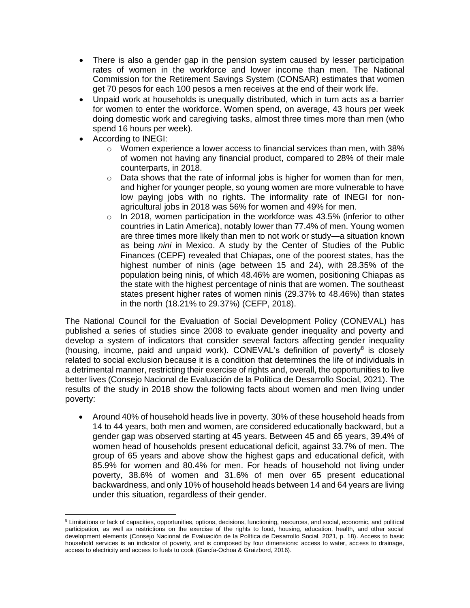- There is also a gender gap in the pension system caused by lesser participation rates of women in the workforce and lower income than men. The National Commission for the Retirement Savings System (CONSAR) estimates that women get 70 pesos for each 100 pesos a men receives at the end of their work life.
- Unpaid work at households is unequally distributed, which in turn acts as a barrier for women to enter the workforce. Women spend, on average, 43 hours per week doing domestic work and caregiving tasks, almost three times more than men (who spend 16 hours per week).
- According to INEGI:

- $\circ$  Women experience a lower access to financial services than men, with 38% of women not having any financial product, compared to 28% of their male counterparts, in 2018.
- o Data shows that the rate of informal jobs is higher for women than for men, and higher for younger people, so young women are more vulnerable to have low paying jobs with no rights. The informality rate of INEGI for nonagricultural jobs in 2018 was 56% for women and 49% for men.
- $\circ$  In 2018, women participation in the workforce was 43.5% (inferior to other countries in Latin America), notably lower than 77.4% of men. Young women are three times more likely than men to not work or study—a situation known as being *nini* in Mexico. A study by the Center of Studies of the Public Finances (CEPF) revealed that Chiapas, one of the poorest states, has the highest number of ninis (age between 15 and 24), with 28.35% of the population being ninis, of which 48.46% are women, positioning Chiapas as the state with the highest percentage of ninis that are women. The southeast states present higher rates of women ninis (29.37% to 48.46%) than states in the north (18.21% to 29.37%) (CEFP, 2018).

The National Council for the Evaluation of Social Development Policy (CONEVAL) has published a series of studies since 2008 to evaluate gender inequality and poverty and develop a system of indicators that consider several factors affecting gender inequality (housing, income, paid and unpaid work). CONEVAL's definition of poverty $8$  is closely related to social exclusion because it is a condition that determines the life of individuals in a detrimental manner, restricting their exercise of rights and, overall, the opportunities to live better lives (Consejo Nacional de Evaluación de la Política de Desarrollo Social, 2021). The results of the study in 2018 show the following facts about women and men living under poverty:

 Around 40% of household heads live in poverty. 30% of these household heads from 14 to 44 years, both men and women, are considered educationally backward, but a gender gap was observed starting at 45 years. Between 45 and 65 years, 39.4% of women head of households present educational deficit, against 33.7% of men. The group of 65 years and above show the highest gaps and educational deficit, with 85.9% for women and 80.4% for men. For heads of household not living under poverty, 38.6% of women and 31.6% of men over 65 present educational backwardness, and only 10% of household heads between 14 and 64 years are living under this situation, regardless of their gender.

<sup>&</sup>lt;sup>8</sup> Limitations or lack of capacities, opportunities, options, decisions, functioning, resources, and social, economic, and political participation, as well as restrictions on the exercise of the rights to food, housing, education, health, and other social development elements (Consejo Nacional de Evaluación de la Política de Desarrollo Social, 2021, p. 18). Access to basic household services is an indicator of poverty, and is composed by four dimensions: access to water, access to drainage, access to electricity and access to fuels to cook (García-Ochoa & Graizbord, 2016).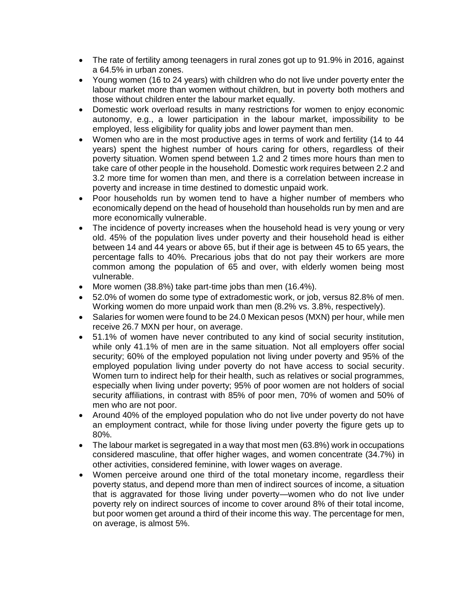- The rate of fertility among teenagers in rural zones got up to 91.9% in 2016, against a 64.5% in urban zones.
- Young women (16 to 24 years) with children who do not live under poverty enter the labour market more than women without children, but in poverty both mothers and those without children enter the labour market equally.
- Domestic work overload results in many restrictions for women to enjoy economic autonomy, e.g., a lower participation in the labour market, impossibility to be employed, less eligibility for quality jobs and lower payment than men.
- Women who are in the most productive ages in terms of work and fertility (14 to 44 years) spent the highest number of hours caring for others, regardless of their poverty situation. Women spend between 1.2 and 2 times more hours than men to take care of other people in the household. Domestic work requires between 2.2 and 3.2 more time for women than men, and there is a correlation between increase in poverty and increase in time destined to domestic unpaid work.
- Poor households run by women tend to have a higher number of members who economically depend on the head of household than households run by men and are more economically vulnerable.
- The incidence of poverty increases when the household head is very young or very old. 45% of the population lives under poverty and their household head is either between 14 and 44 years or above 65, but if their age is between 45 to 65 years, the percentage falls to 40%. Precarious jobs that do not pay their workers are more common among the population of 65 and over, with elderly women being most vulnerable.
- More women (38.8%) take part-time jobs than men (16.4%).
- 52.0% of women do some type of extradomestic work, or job, versus 82.8% of men. Working women do more unpaid work than men (8.2% vs. 3.8%, respectively).
- Salaries for women were found to be 24.0 Mexican pesos (MXN) per hour, while men receive 26.7 MXN per hour, on average.
- 51.1% of women have never contributed to any kind of social security institution, while only 41.1% of men are in the same situation. Not all employers offer social security; 60% of the employed population not living under poverty and 95% of the employed population living under poverty do not have access to social security. Women turn to indirect help for their health, such as relatives or social programmes, especially when living under poverty; 95% of poor women are not holders of social security affiliations, in contrast with 85% of poor men, 70% of women and 50% of men who are not poor.
- Around 40% of the employed population who do not live under poverty do not have an employment contract, while for those living under poverty the figure gets up to 80%.
- The labour market is segregated in a way that most men (63.8%) work in occupations considered masculine, that offer higher wages, and women concentrate (34.7%) in other activities, considered feminine, with lower wages on average.
- Women perceive around one third of the total monetary income, regardless their poverty status, and depend more than men of indirect sources of income, a situation that is aggravated for those living under poverty—women who do not live under poverty rely on indirect sources of income to cover around 8% of their total income, but poor women get around a third of their income this way. The percentage for men, on average, is almost 5%.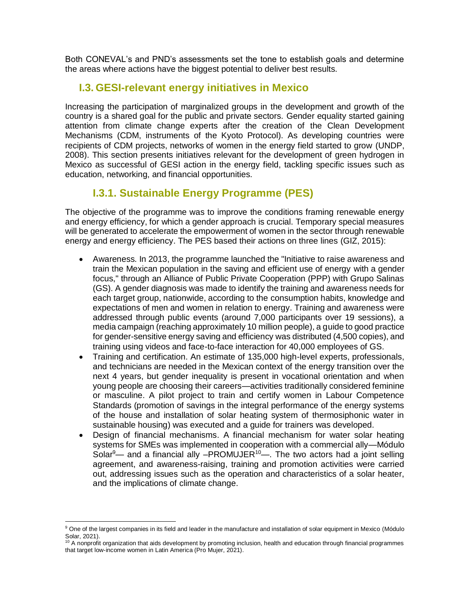Both CONEVAL's and PND's assessments set the tone to establish goals and determine the areas where actions have the biggest potential to deliver best results.

#### **I.3. GESI-relevant energy initiatives in Mexico**

Increasing the participation of marginalized groups in the development and growth of the country is a shared goal for the public and private sectors. Gender equality started gaining attention from climate change experts after the creation of the Clean Development Mechanisms (CDM, instruments of the Kyoto Protocol). As developing countries were recipients of CDM projects, networks of women in the energy field started to grow (UNDP, 2008). This section presents initiatives relevant for the development of green hydrogen in Mexico as successful of GESI action in the energy field, tackling specific issues such as education, networking, and financial opportunities.

# **I.3.1. Sustainable Energy Programme (PES)**

The objective of the programme was to improve the conditions framing renewable energy and energy efficiency, for which a gender approach is crucial. Temporary special measures will be generated to accelerate the empowerment of women in the sector through renewable energy and energy efficiency. The PES based their actions on three lines (GIZ, 2015):

- Awareness. In 2013, the programme launched the "Initiative to raise awareness and train the Mexican population in the saving and efficient use of energy with a gender focus," through an Alliance of Public Private Cooperation (PPP) with Grupo Salinas (GS). A gender diagnosis was made to identify the training and awareness needs for each target group, nationwide, according to the consumption habits, knowledge and expectations of men and women in relation to energy. Training and awareness were addressed through public events (around 7,000 participants over 19 sessions), a media campaign (reaching approximately 10 million people), a guide to good practice for gender-sensitive energy saving and efficiency was distributed (4,500 copies), and training using videos and face-to-face interaction for 40,000 employees of GS.
- Training and certification. An estimate of 135,000 high-level experts, professionals, and technicians are needed in the Mexican context of the energy transition over the next 4 years, but gender inequality is present in vocational orientation and when young people are choosing their careers—activities traditionally considered feminine or masculine. A pilot project to train and certify women in Labour Competence Standards (promotion of savings in the integral performance of the energy systems of the house and installation of solar heating system of thermosiphonic water in sustainable housing) was executed and a guide for trainers was developed.
- Design of financial mechanisms. A financial mechanism for water solar heating systems for SMEs was implemented in cooperation with a commercial ally—Módulo Solar $9$ — and a financial ally -PROMUJER<sup>10</sup>—. The two actors had a joint selling agreement, and awareness-raising, training and promotion activities were carried out, addressing issues such as the operation and characteristics of a solar heater, and the implications of climate change.

 $\overline{a}$ <sup>9</sup> One of the largest companies in its field and leader in the manufacture and installation of solar equipment in Mexico (Módulo Solar, 2021).

 $10$  A nonprofit organization that aids development by promoting inclusion, health and education through financial programmes that target low-income women in Latin America (Pro Mujer, 2021).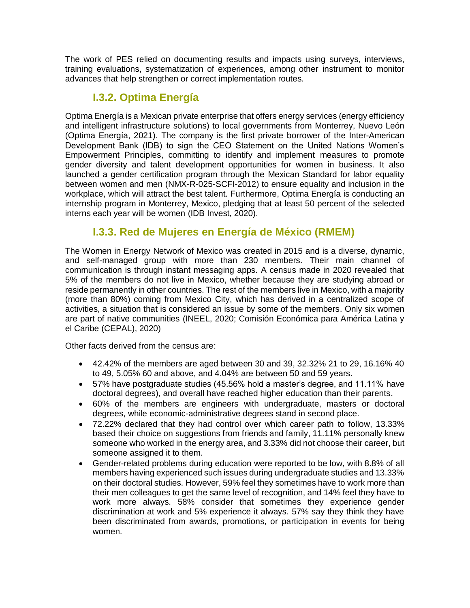The work of PES relied on documenting results and impacts using surveys, interviews, training evaluations, systematization of experiences, among other instrument to monitor advances that help strengthen or correct implementation routes.

## **I.3.2. Optima Energía**

Optima Energía is a Mexican private enterprise that offers energy services (energy efficiency and intelligent infrastructure solutions) to local governments from Monterrey, Nuevo León (Optima Energía, 2021). The company is the first private borrower of the Inter-American Development Bank (IDB) to sign the CEO Statement on the United Nations Women's Empowerment Principles, committing to identify and implement measures to promote gender diversity and talent development opportunities for women in business. It also launched a gender certification program through the Mexican Standard for labor equality between women and men (NMX-R-025-SCFI-2012) to ensure equality and inclusion in the workplace, which will attract the best talent. Furthermore, Optima Energía is conducting an internship program in Monterrey, Mexico, pledging that at least 50 percent of the selected interns each year will be women (IDB Invest, 2020).

# **I.3.3. Red de Mujeres en Energía de México (RMEM)**

The Women in Energy Network of Mexico was created in 2015 and is a diverse, dynamic, and self-managed group with more than 230 members. Their main channel of communication is through instant messaging apps. A census made in 2020 revealed that 5% of the members do not live in Mexico, whether because they are studying abroad or reside permanently in other countries. The rest of the members live in Mexico, with a majority (more than 80%) coming from Mexico City, which has derived in a centralized scope of activities, a situation that is considered an issue by some of the members. Only six women are part of native communities (INEEL, 2020; Comisión Económica para América Latina y el Caribe (CEPAL), 2020)

Other facts derived from the census are:

- $\bullet$  42.42% of the members are aged between 30 and 39, 32.32% 21 to 29, 16.16% 40 to 49, 5.05% 60 and above, and 4.04% are between 50 and 59 years.
- 57% have postgraduate studies (45.56% hold a master's degree, and 11.11% have doctoral degrees), and overall have reached higher education than their parents.
- 60% of the members are engineers with undergraduate, masters or doctoral degrees, while economic-administrative degrees stand in second place.
- 72.22% declared that they had control over which career path to follow, 13.33% based their choice on suggestions from friends and family, 11.11% personally knew someone who worked in the energy area, and 3.33% did not choose their career, but someone assigned it to them.
- Gender-related problems during education were reported to be low, with 8.8% of all members having experienced such issues during undergraduate studies and 13.33% on their doctoral studies. However, 59% feel they sometimes have to work more than their men colleagues to get the same level of recognition, and 14% feel they have to work more always. 58% consider that sometimes they experience gender discrimination at work and 5% experience it always. 57% say they think they have been discriminated from awards, promotions, or participation in events for being women.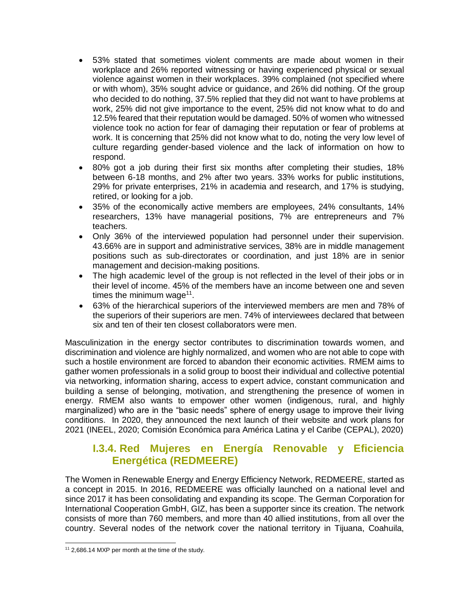- 53% stated that sometimes violent comments are made about women in their workplace and 26% reported witnessing or having experienced physical or sexual violence against women in their workplaces. 39% complained (not specified where or with whom), 35% sought advice or guidance, and 26% did nothing. Of the group who decided to do nothing, 37.5% replied that they did not want to have problems at work, 25% did not give importance to the event, 25% did not know what to do and 12.5% feared that their reputation would be damaged. 50% of women who witnessed violence took no action for fear of damaging their reputation or fear of problems at work. It is concerning that 25% did not know what to do, noting the very low level of culture regarding gender-based violence and the lack of information on how to respond.
- 80% got a job during their first six months after completing their studies, 18% between 6-18 months, and 2% after two years. 33% works for public institutions, 29% for private enterprises, 21% in academia and research, and 17% is studying, retired, or looking for a job.
- 35% of the economically active members are employees, 24% consultants, 14% researchers, 13% have managerial positions, 7% are entrepreneurs and 7% teachers.
- Only 36% of the interviewed population had personnel under their supervision. 43.66% are in support and administrative services, 38% are in middle management positions such as sub-directorates or coordination, and just 18% are in senior management and decision-making positions.
- The high academic level of the group is not reflected in the level of their jobs or in their level of income. 45% of the members have an income between one and seven times the minimum wage<sup>11</sup>.
- 63% of the hierarchical superiors of the interviewed members are men and 78% of the superiors of their superiors are men. 74% of interviewees declared that between six and ten of their ten closest collaborators were men.

Masculinization in the energy sector contributes to discrimination towards women, and discrimination and violence are highly normalized, and women who are not able to cope with such a hostile environment are forced to abandon their economic activities. RMEM aims to gather women professionals in a solid group to boost their individual and collective potential via networking, information sharing, access to expert advice, constant communication and building a sense of belonging, motivation, and strengthening the presence of women in energy. RMEM also wants to empower other women (indigenous, rural, and highly marginalized) who are in the "basic needs" sphere of energy usage to improve their living conditions. In 2020, they announced the next launch of their website and work plans for 2021 (INEEL, 2020; Comisión Económica para América Latina y el Caribe (CEPAL), 2020)

#### **I.3.4. Red Mujeres en Energía Renovable y Eficiencia Energética (REDMEERE)**

The Women in Renewable Energy and Energy Efficiency Network, REDMEERE, started as a concept in 2015. In 2016, REDMEERE was officially launched on a national level and since 2017 it has been consolidating and expanding its scope. The German Corporation for International Cooperation GmbH, GIZ, has been a supporter since its creation. The network consists of more than 760 members, and more than 40 allied institutions, from all over the country. Several nodes of the network cover the national territory in Tijuana, Coahuila,

<sup>11</sup> 2,686.14 MXP per month at the time of the study.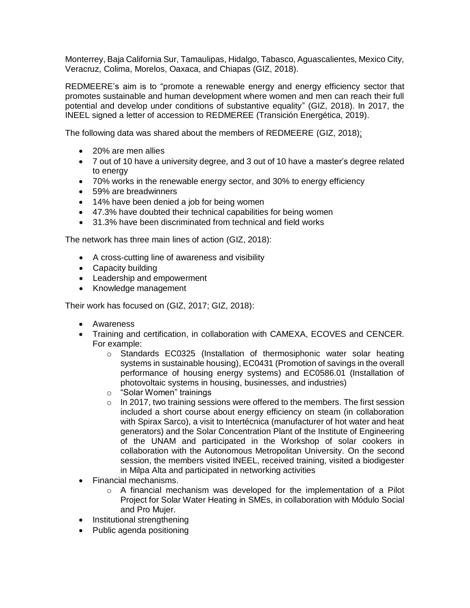Monterrey, Baja California Sur, Tamaulipas, Hidalgo, Tabasco, Aguascalientes, Mexico City, Veracruz, Colima, Morelos, Oaxaca, and Chiapas (GIZ, 2018).

REDMEERE's aim is to "promote a renewable energy and energy efficiency sector that promotes sustainable and human development where women and men can reach their full potential and develop under conditions of substantive equality" (GIZ, 2018). In 2017, the INEEL signed a letter of accession to REDMEREE (Transición Energética, 2019).

The following data was shared about the members of REDMEERE (GIZ, 2018):

- 20% are men allies
- 7 out of 10 have a university degree, and 3 out of 10 have a master's degree related to energy
- 70% works in the renewable energy sector, and 30% to energy efficiency
- 59% are breadwinners
- 14% have been denied a job for being women
- 47.3% have doubted their technical capabilities for being women
- 31.3% have been discriminated from technical and field works

The network has three main lines of action (GIZ, 2018):

- A cross-cutting line of awareness and visibility
- Capacity building
- Leadership and empowerment
- Knowledge management

Their work has focused on (GIZ, 2017; GIZ, 2018):

- Awareness
- Training and certification, in collaboration with CAMEXA, ECOVES and CENCER. For example:
	- o Standards EC0325 (Installation of thermosiphonic water solar heating systems in sustainable housing), EC0431 (Promotion of savings in the overall performance of housing energy systems) and EC0586.01 (Installation of photovoltaic systems in housing, businesses, and industries)
	- o "Solar Women" trainings
	- o In 2017, two training sessions were offered to the members. The first session included a short course about energy efficiency on steam (in collaboration with Spirax Sarco), a visit to Intertécnica (manufacturer of hot water and heat generators) and the Solar Concentration Plant of the Institute of Engineering of the UNAM and participated in the Workshop of solar cookers in collaboration with the Autonomous Metropolitan University. On the second session, the members visited INEEL, received training, visited a biodigester in Milpa Alta and participated in networking activities
- Financial mechanisms.
	- o A financial mechanism was developed for the implementation of a Pilot Project for Solar Water Heating in SMEs, in collaboration with Módulo Social and Pro Mujer.
- Institutional strengthening
- Public agenda positioning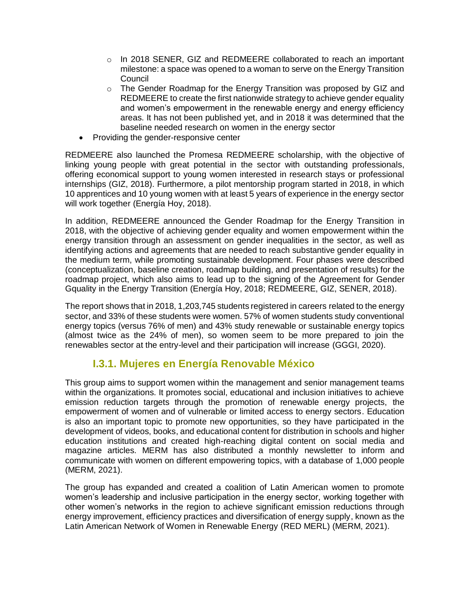- o In 2018 SENER, GIZ and REDMEERE collaborated to reach an important milestone: a space was opened to a woman to serve on the Energy Transition Council
- o The Gender Roadmap for the Energy Transition was proposed by GIZ and REDMEERE to create the first nationwide strategy to achieve gender equality and women's empowerment in the renewable energy and energy efficiency areas. It has not been published yet, and in 2018 it was determined that the baseline needed research on women in the energy sector
- Providing the gender-responsive center

REDMEERE also launched the Promesa REDMEERE scholarship, with the objective of linking young people with great potential in the sector with outstanding professionals, offering economical support to young women interested in research stays or professional internships (GIZ, 2018). Furthermore, a pilot mentorship program started in 2018, in which 10 apprentices and 10 young women with at least 5 years of experience in the energy sector will work together (Energía Hoy, 2018).

In addition, REDMEERE announced the Gender Roadmap for the Energy Transition in 2018, with the objective of achieving gender equality and women empowerment within the energy transition through an assessment on gender inequalities in the sector, as well as identifying actions and agreements that are needed to reach substantive gender equality in the medium term, while promoting sustainable development. Four phases were described (conceptualization, baseline creation, roadmap building, and presentation of results) for the roadmap project, which also aims to lead up to the signing of the Agreement for Gender Gquality in the Energy Transition (Energía Hoy, 2018; REDMEERE, GIZ, SENER, 2018).

The report shows that in 2018, 1,203,745 students registered in careers related to the energy sector, and 33% of these students were women. 57% of women students study conventional energy topics (versus 76% of men) and 43% study renewable or sustainable energy topics (almost twice as the 24% of men), so women seem to be more prepared to join the renewables sector at the entry-level and their participation will increase (GGGI, 2020).

## **I.3.1. Mujeres en Energía Renovable México**

This group aims to support women within the management and senior management teams within the organizations. It promotes social, educational and inclusion initiatives to achieve emission reduction targets through the promotion of renewable energy projects, the empowerment of women and of vulnerable or limited access to energy sectors. Education is also an important topic to promote new opportunities, so they have participated in the development of videos, books, and educational content for distribution in schools and higher education institutions and created high-reaching digital content on social media and magazine articles. MERM has also distributed a monthly newsletter to inform and communicate with women on different empowering topics, with a database of 1,000 people (MERM, 2021).

The group has expanded and created a coalition of Latin American women to promote women's leadership and inclusive participation in the energy sector, working together with other women's networks in the region to achieve significant emission reductions through energy improvement, efficiency practices and diversification of energy supply, known as the Latin American Network of Women in Renewable Energy (RED MERL) (MERM, 2021).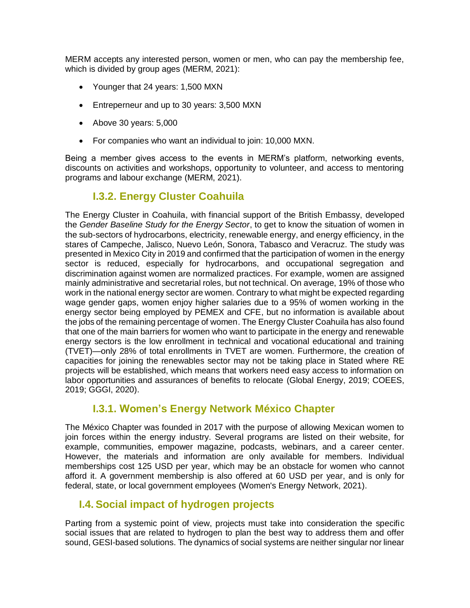MERM accepts any interested person, women or men, who can pay the membership fee, which is divided by group ages (MERM, 2021):

- Younger that 24 years: 1,500 MXN
- Entreperneur and up to 30 years: 3,500 MXN
- Above 30 years: 5,000
- For companies who want an individual to join: 10,000 MXN.

Being a member gives access to the events in MERM's platform, networking events, discounts on activities and workshops, opportunity to volunteer, and access to mentoring programs and labour exchange (MERM, 2021).

## **I.3.2. Energy Cluster Coahuila**

The Energy Cluster in Coahuila, with financial support of the British Embassy, developed the *Gender Baseline Study for the Energy Sector*, to get to know the situation of women in the sub-sectors of hydrocarbons, electricity, renewable energy, and energy efficiency, in the stares of Campeche, Jalisco, Nuevo León, Sonora, Tabasco and Veracruz. The study was presented in Mexico City in 2019 and confirmed that the participation of women in the energy sector is reduced, especially for hydrocarbons, and occupational segregation and discrimination against women are normalized practices. For example, women are assigned mainly administrative and secretarial roles, but not technical. On average, 19% of those who work in the national energy sector are women. Contrary to what might be expected regarding wage gender gaps, women enjoy higher salaries due to a 95% of women working in the energy sector being employed by PEMEX and CFE, but no information is available about the jobs of the remaining percentage of women. The Energy Cluster Coahuila has also found that one of the main barriers for women who want to participate in the energy and renewable energy sectors is the low enrollment in technical and vocational educational and training (TVET)—only 28% of total enrollments in TVET are women. Furthermore, the creation of capacities for joining the renewables sector may not be taking place in Stated where RE projects will be established, which means that workers need easy access to information on labor opportunities and assurances of benefits to relocate (Global Energy, 2019; COEES, 2019; GGGI, 2020).

## **I.3.1. Women's Energy Network México Chapter**

The México Chapter was founded in 2017 with the purpose of allowing Mexican women to join forces within the energy industry. Several programs are listed on their website, for example, communities, empower magazine, podcasts, webinars, and a career center. However, the materials and information are only available for members. Individual memberships cost 125 USD per year, which may be an obstacle for women who cannot afford it. A government membership is also offered at 60 USD per year, and is only for federal, state, or local government employees (Women's Energy Network, 2021).

## **I.4. Social impact of hydrogen projects**

Parting from a systemic point of view, projects must take into consideration the specific social issues that are related to hydrogen to plan the best way to address them and offer sound, GESI-based solutions. The dynamics of social systems are neither singular nor linear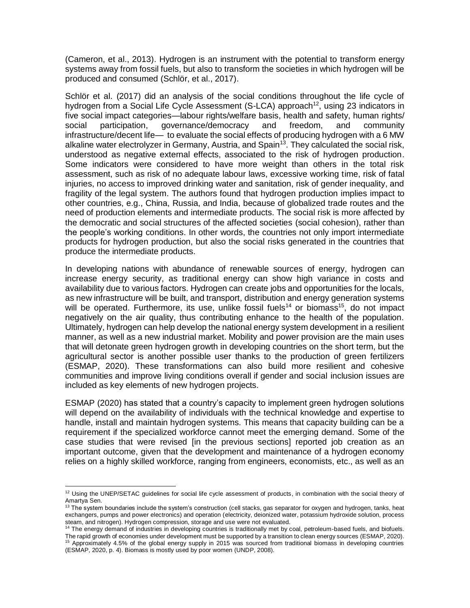(Cameron, et al., 2013). Hydrogen is an instrument with the potential to transform energy systems away from fossil fuels, but also to transform the societies in which hydrogen will be produced and consumed (Schlör, et al., 2017).

Schlör et al. (2017) did an analysis of the social conditions throughout the life cycle of hydrogen from a Social Life Cycle Assessment (S-LCA) approach<sup>12</sup>, using 23 indicators in five social impact categories—labour rights/welfare basis, health and safety, human rights/ social participation, governance/democracy and freedom, and community infrastructure/decent life— to evaluate the social effects of producing hydrogen with a 6 MW alkaline water electrolyzer in Germany, Austria, and Spain<sup>13</sup>. They calculated the social risk, understood as negative external effects, associated to the risk of hydrogen production. Some indicators were considered to have more weight than others in the total risk assessment, such as risk of no adequate labour laws, excessive working time, risk of fatal injuries, no access to improved drinking water and sanitation, risk of gender inequality, and fragility of the legal system. The authors found that hydrogen production implies impact to other countries, e.g., China, Russia, and India, because of globalized trade routes and the need of production elements and intermediate products. The social risk is more affected by the democratic and social structures of the affected societies (social cohesion), rather than the people's working conditions. In other words, the countries not only import intermediate products for hydrogen production, but also the social risks generated in the countries that produce the intermediate products.

In developing nations with abundance of renewable sources of energy, hydrogen can increase energy security, as traditional energy can show high variance in costs and availability due to various factors. Hydrogen can create jobs and opportunities for the locals, as new infrastructure will be built, and transport, distribution and energy generation systems will be operated. Furthermore, its use, unlike fossil fuels<sup>14</sup> or biomass<sup>15</sup>, do not impact negatively on the air quality, thus contributing enhance to the health of the population. Ultimately, hydrogen can help develop the national energy system development in a resilient manner, as well as a new industrial market. Mobility and power provision are the main uses that will detonate green hydrogen growth in developing countries on the short term, but the agricultural sector is another possible user thanks to the production of green fertilizers (ESMAP, 2020). These transformations can also build more resilient and cohesive communities and improve living conditions overall if gender and social inclusion issues are included as key elements of new hydrogen projects.

ESMAP (2020) has stated that a country's capacity to implement green hydrogen solutions will depend on the availability of individuals with the technical knowledge and expertise to handle, install and maintain hydrogen systems. This means that capacity building can be a requirement if the specialized workforce cannot meet the emerging demand. Some of the case studies that were revised [in the previous sections] reported job creation as an important outcome, given that the development and maintenance of a hydrogen economy relies on a highly skilled workforce, ranging from engineers, economists, etc., as well as an

 $\overline{a}$  $12$  Using the UNEP/SETAC guidelines for social life cycle assessment of products, in combination with the social theory of Amartya Sen.

<sup>13</sup> The system boundaries include the system's construction (cell stacks, gas separator for oxygen and hydrogen, tanks, heat exchangers, pumps and power electronics) and operation (electricity, deionized water, potassium hydroxide solution, process steam, and nitrogen). Hydrogen compression, storage and use were not evaluated.

<sup>&</sup>lt;sup>14</sup> The energy demand of industries in developing countries is traditionally met by coal, petroleum-based fuels, and biofuels. The rapid growth of economies under development must be supported by a transition to clean energy sources (ESMAP, 2020). <sup>15</sup> Approximately 4.5% of the global energy supply in 2015 was sourced from traditional biomass in developing countries (ESMAP, 2020, p. 4). Biomass is mostly used by poor women (UNDP, 2008).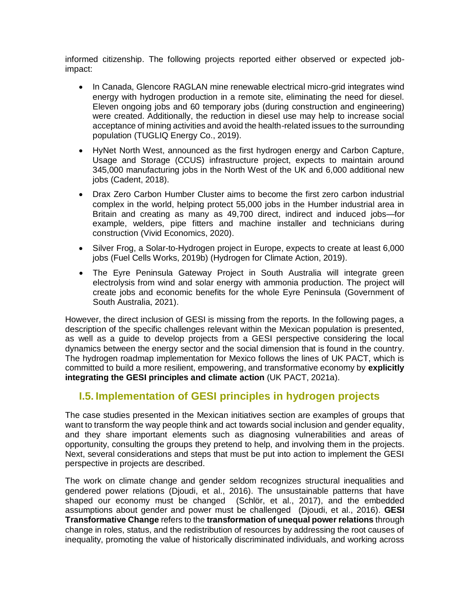informed citizenship. The following projects reported either observed or expected jobimpact:

- In Canada, Glencore RAGLAN mine renewable electrical micro-grid integrates wind energy with hydrogen production in a remote site, eliminating the need for diesel. Eleven ongoing jobs and 60 temporary jobs (during construction and engineering) were created. Additionally, the reduction in diesel use may help to increase social acceptance of mining activities and avoid the health-related issues to the surrounding population (TUGLIQ Energy Co., 2019).
- HyNet North West, announced as the first hydrogen energy and Carbon Capture, Usage and Storage (CCUS) infrastructure project, expects to maintain around 345,000 manufacturing jobs in the North West of the UK and 6,000 additional new jobs (Cadent, 2018).
- Drax Zero Carbon Humber Cluster aims to become the first zero carbon industrial complex in the world, helping protect 55,000 jobs in the Humber industrial area in Britain and creating as many as 49,700 direct, indirect and induced jobs—for example, welders, pipe fitters and machine installer and technicians during construction (Vivid Economics, 2020).
- Silver Frog, a Solar-to-Hydrogen project in Europe, expects to create at least 6,000 jobs (Fuel Cells Works, 2019b) (Hydrogen for Climate Action, 2019).
- The Eyre Peninsula Gateway Project in South Australia will integrate green electrolysis from wind and solar energy with ammonia production. The project will create jobs and economic benefits for the whole Eyre Peninsula (Government of South Australia, 2021).

However, the direct inclusion of GESI is missing from the reports. In the following pages, a description of the specific challenges relevant within the Mexican population is presented, as well as a guide to develop projects from a GESI perspective considering the local dynamics between the energy sector and the social dimension that is found in the country. The hydrogen roadmap implementation for Mexico follows the lines of UK PACT, which is committed to build a more resilient, empowering, and transformative economy by **explicitly integrating the GESI principles and climate action** (UK PACT, 2021a).

## **I.5. Implementation of GESI principles in hydrogen projects**

The case studies presented in the Mexican initiatives section are examples of groups that want to transform the way people think and act towards social inclusion and gender equality, and they share important elements such as diagnosing vulnerabilities and areas of opportunity, consulting the groups they pretend to help, and involving them in the projects. Next, several considerations and steps that must be put into action to implement the GESI perspective in projects are described.

The work on climate change and gender seldom recognizes structural inequalities and gendered power relations (Djoudi, et al., 2016). The unsustainable patterns that have shaped our economy must be changed (Schlör, et al., 2017), and the embedded assumptions about gender and power must be challenged (Djoudi, et al., 2016). **GESI Transformative Change** refers to the **transformation of unequal power relations** through change in roles, status, and the redistribution of resources by addressing the root causes of inequality, promoting the value of historically discriminated individuals, and working across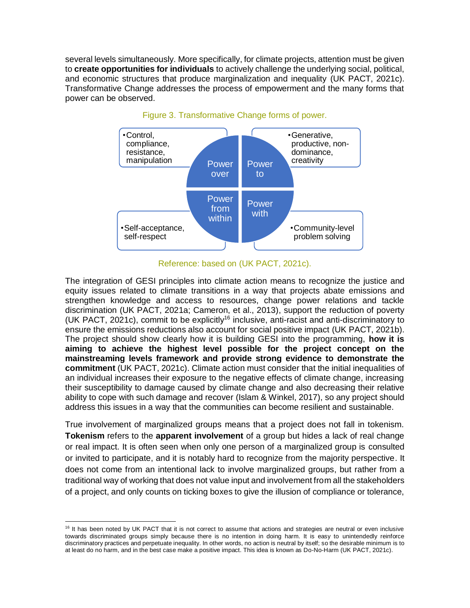several levels simultaneously. More specifically, for climate projects, attention must be given to **create opportunities for individuals** to actively challenge the underlying social, political, and economic structures that produce marginalization and inequality (UK PACT, 2021c). Transformative Change addresses the process of empowerment and the many forms that power can be observed.



#### Figure 3. Transformative Change forms of power.

Reference: based on (UK PACT, 2021c).

The integration of GESI principles into climate action means to recognize the justice and equity issues related to climate transitions in a way that projects abate emissions and strengthen knowledge and access to resources, change power relations and tackle discrimination (UK PACT, 2021a; Cameron, et al., 2013), support the reduction of poverty (UK PACT, 2021c), commit to be explicitly<sup>16</sup> inclusive, anti-racist and anti-discriminatory to ensure the emissions reductions also account for social positive impact (UK PACT, 2021b). The project should show clearly how it is building GESI into the programming, **how it is aiming to achieve the highest level possible for the project concept on the mainstreaming levels framework and provide strong evidence to demonstrate the commitment** (UK PACT, 2021c). Climate action must consider that the initial inequalities of an individual increases their exposure to the negative effects of climate change, increasing their susceptibility to damage caused by climate change and also decreasing their relative ability to cope with such damage and recover (Islam & Winkel, 2017), so any project should address this issues in a way that the communities can become resilient and sustainable.

True involvement of marginalized groups means that a project does not fall in tokenism. **Tokenism** refers to the **apparent involvement** of a group but hides a lack of real change or real impact. It is often seen when only one person of a marginalized group is consulted or invited to participate, and it is notably hard to recognize from the majority perspective. It does not come from an intentional lack to involve marginalized groups, but rather from a traditional way of working that does not value input and involvement from all the stakeholders of a project, and only counts on ticking boxes to give the illusion of compliance or tolerance,

 $\overline{a}$ 

<sup>&</sup>lt;sup>16</sup> It has been noted by UK PACT that it is not correct to assume that actions and strategies are neutral or even inclusive towards discriminated groups simply because there is no intention in doing harm. It is easy to unintendedly reinforce discriminatory practices and perpetuate inequality. In other words, no action is neutral by itself; so the desirable minimum is to at least do no harm, and in the best case make a positive impact. This idea is known as Do-No-Harm (UK PACT, 2021c).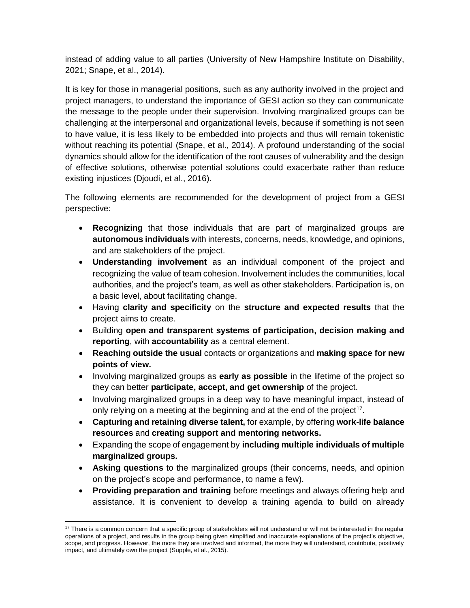instead of adding value to all parties (University of New Hampshire Institute on Disability, 2021; Snape, et al., 2014).

It is key for those in managerial positions, such as any authority involved in the project and project managers, to understand the importance of GESI action so they can communicate the message to the people under their supervision. Involving marginalized groups can be challenging at the interpersonal and organizational levels, because if something is not seen to have value, it is less likely to be embedded into projects and thus will remain tokenistic without reaching its potential (Snape, et al., 2014). A profound understanding of the social dynamics should allow for the identification of the root causes of vulnerability and the design of effective solutions, otherwise potential solutions could exacerbate rather than reduce existing injustices (Djoudi, et al., 2016).

The following elements are recommended for the development of project from a GESI perspective:

- **Recognizing** that those individuals that are part of marginalized groups are **autonomous individuals** with interests, concerns, needs, knowledge, and opinions, and are stakeholders of the project.
- **Understanding involvement** as an individual component of the project and recognizing the value of team cohesion. Involvement includes the communities, local authorities, and the project's team, as well as other stakeholders. Participation is, on a basic level, about facilitating change.
- Having **clarity and specificity** on the **structure and expected results** that the project aims to create.
- Building **open and transparent systems of participation, decision making and reporting**, with **accountability** as a central element.
- **Reaching outside the usual** contacts or organizations and **making space for new points of view.**
- Involving marginalized groups as **early as possible** in the lifetime of the project so they can better **participate, accept, and get ownership** of the project.
- Involving marginalized groups in a deep way to have meaningful impact, instead of only relying on a meeting at the beginning and at the end of the project<sup>17</sup>.
- **Capturing and retaining diverse talent,** for example, by offering **work-life balance resources** and **creating support and mentoring networks.**
- Expanding the scope of engagement by **including multiple individuals of multiple marginalized groups.**
- **Asking questions** to the marginalized groups (their concerns, needs, and opinion on the project's scope and performance, to name a few).
- **Providing preparation and training** before meetings and always offering help and assistance. It is convenient to develop a training agenda to build on already

 $\overline{a}$ <sup>17</sup> There is a common concern that a specific group of stakeholders will not understand or will not be interested in the regular operations of a project, and results in the group being given simplified and inaccurate explanations of the project's objecti ve, scope, and progress. However, the more they are involved and informed, the more they will understand, contribute, positively impact, and ultimately own the project (Supple, et al., 2015).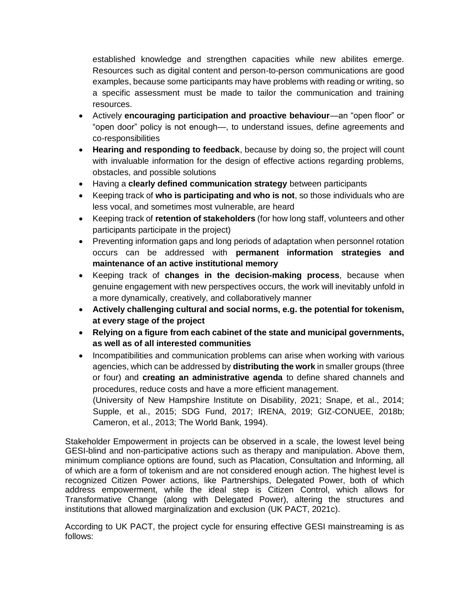established knowledge and strengthen capacities while new abilites emerge. Resources such as digital content and person-to-person communications are good examples, because some participants may have problems with reading or writing, so a specific assessment must be made to tailor the communication and training resources.

- Actively **encouraging participation and proactive behaviour**—an "open floor" or "open door" policy is not enough—, to understand issues, define agreements and co-responsibilities
- **Hearing and responding to feedback**, because by doing so, the project will count with invaluable information for the design of effective actions regarding problems, obstacles, and possible solutions
- Having a **clearly defined communication strategy** between participants
- Keeping track of **who is participating and who is not**, so those individuals who are less vocal, and sometimes most vulnerable, are heard
- Keeping track of **retention of stakeholders** (for how long staff, volunteers and other participants participate in the project)
- Preventing information gaps and long periods of adaptation when personnel rotation occurs can be addressed with **permanent information strategies and maintenance of an active institutional memory**
- Keeping track of **changes in the decision-making process**, because when genuine engagement with new perspectives occurs, the work will inevitably unfold in a more dynamically, creatively, and collaboratively manner
- **Actively challenging cultural and social norms, e.g. the potential for tokenism, at every stage of the project**
- **Relying on a figure from each cabinet of the state and municipal governments, as well as of all interested communities**
- Incompatibilities and communication problems can arise when working with various agencies, which can be addressed by **distributing the work** in smaller groups (three or four) and **creating an administrative agenda** to define shared channels and procedures, reduce costs and have a more efficient management.

(University of New Hampshire Institute on Disability, 2021; Snape, et al., 2014; Supple, et al., 2015; SDG Fund, 2017; IRENA, 2019; GIZ-CONUEE, 2018b; Cameron, et al., 2013; The World Bank, 1994).

Stakeholder Empowerment in projects can be observed in a scale, the lowest level being GESI-blind and non-participative actions such as therapy and manipulation. Above them, minimum compliance options are found, such as Placation, Consultation and Informing, all of which are a form of tokenism and are not considered enough action. The highest level is recognized Citizen Power actions, like Partnerships, Delegated Power, both of which address empowerment, while the ideal step is Citizen Control, which allows for Transformative Change (along with Delegated Power), altering the structures and institutions that allowed marginalization and exclusion (UK PACT, 2021c).

According to UK PACT, the project cycle for ensuring effective GESI mainstreaming is as follows: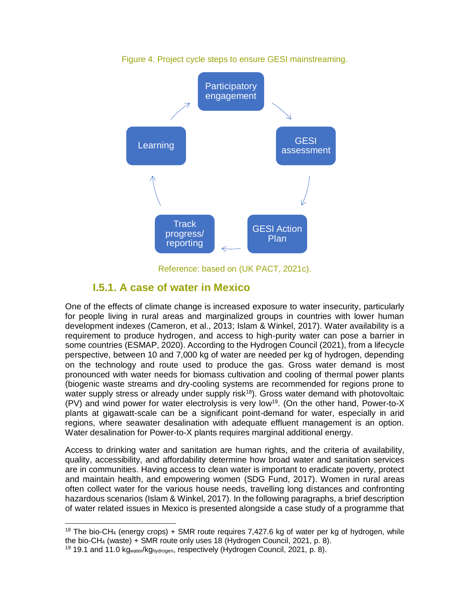

Figure 4. Project cycle steps to ensure GESI mainstreaming.

Reference: based on (UK PACT, 2021c).

#### **I.5.1. A case of water in Mexico**

One of the effects of climate change is increased exposure to water insecurity, particularly for people living in rural areas and marginalized groups in countries with lower human development indexes (Cameron, et al., 2013; Islam & Winkel, 2017). Water availability is a requirement to produce hydrogen, and access to high-purity water can pose a barrier in some countries (ESMAP, 2020). According to the Hydrogen Council (2021), from a lifecycle perspective, between 10 and 7,000 kg of water are needed per kg of hydrogen, depending on the technology and route used to produce the gas. Gross water demand is most pronounced with water needs for biomass cultivation and cooling of thermal power plants (biogenic waste streams and dry-cooling systems are recommended for regions prone to water supply stress or already under supply risk<sup>18</sup>). Gross water demand with photovoltaic  $(PV)$  and wind power for water electrolysis is very low<sup>19</sup>. (On the other hand, Power-to-X plants at gigawatt-scale can be a significant point-demand for water, especially in arid regions, where seawater desalination with adequate effluent management is an option. Water desalination for Power-to-X plants requires marginal additional energy.

Access to drinking water and sanitation are human rights, and the criteria of availability, quality, accessibility, and affordability determine how broad water and sanitation services are in communities. Having access to clean water is important to eradicate poverty, protect and maintain health, and empowering women (SDG Fund, 2017). Women in rural areas often collect water for the various house needs, travelling long distances and confronting hazardous scenarios (Islam & Winkel, 2017). In the following paragraphs, a brief description of water related issues in Mexico is presented alongside a case study of a programme that

 <sup>18</sup> The bio-CH<sub>4</sub> (energy crops) + SMR route requires 7,427.6 kg of water per kg of hydrogen, while the bio-CH<sup>4</sup> (waste) + SMR route only uses 18 (Hydrogen Council, 2021, p. 8).

<sup>&</sup>lt;sup>19</sup> 19.1 and 11.0 kg<sub>water</sub>/kg<sub>hydrogen</sub>, respectively (Hydrogen Council, 2021, p. 8).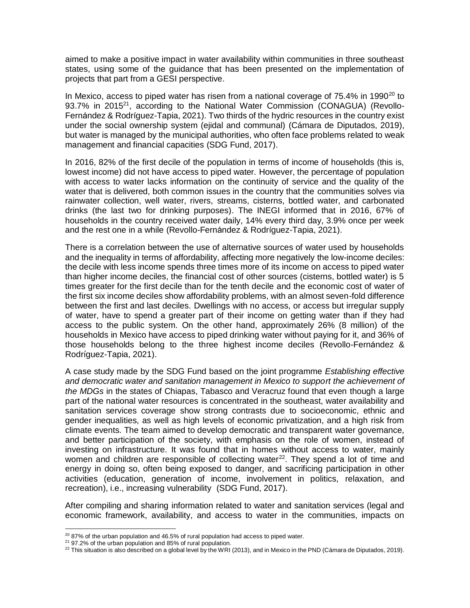aimed to make a positive impact in water availability within communities in three southeast states, using some of the guidance that has been presented on the implementation of projects that part from a GESI perspective.

In Mexico, access to piped water has risen from a national coverage of  $75.4\%$  in 1990<sup>20</sup> to 93.7% in 2015<sup>21</sup>, according to the National Water Commission (CONAGUA) (Revollo-Fernández & Rodríguez-Tapia, 2021). Two thirds of the hydric resources in the country exist under the social ownership system (ejidal and communal) (Cámara de Diputados, 2019), but water is managed by the municipal authorities, who often face problems related to weak management and financial capacities (SDG Fund, 2017).

In 2016, 82% of the first decile of the population in terms of income of households (this is, lowest income) did not have access to piped water. However, the percentage of population with access to water lacks information on the continuity of service and the quality of the water that is delivered, both common issues in the country that the communities solves via rainwater collection, well water, rivers, streams, cisterns, bottled water, and carbonated drinks (the last two for drinking purposes). The INEGI informed that in 2016, 67% of households in the country received water daily, 14% every third day, 3.9% once per week and the rest one in a while (Revollo-Fernández & Rodríguez-Tapia, 2021).

There is a correlation between the use of alternative sources of water used by households and the inequality in terms of affordability, affecting more negatively the low-income deciles: the decile with less income spends three times more of its income on access to piped water than higher income deciles, the financial cost of other sources (cisterns, bottled water) is 5 times greater for the first decile than for the tenth decile and the economic cost of water of the first six income deciles show affordability problems, with an almost seven-fold difference between the first and last deciles. Dwellings with no access, or access but irregular supply of water, have to spend a greater part of their income on getting water than if they had access to the public system. On the other hand, approximately 26% (8 million) of the households in Mexico have access to piped drinking water without paying for it, and 36% of those households belong to the three highest income deciles (Revollo-Fernández & Rodríguez-Tapia, 2021).

A case study made by the SDG Fund based on the joint programme *Establishing effective and democratic water and sanitation management in Mexico to support the achievement of the MDGs* in the states of Chiapas, Tabasco and Veracruz found that even though a large part of the national water resources is concentrated in the southeast, water availability and sanitation services coverage show strong contrasts due to socioeconomic, ethnic and gender inequalities, as well as high levels of economic privatization, and a high risk from climate events. The team aimed to develop democratic and transparent water governance, and better participation of the society, with emphasis on the role of women, instead of investing on infrastructure. It was found that in homes without access to water, mainly women and children are responsible of collecting water<sup>22</sup>. They spend a lot of time and energy in doing so, often being exposed to danger, and sacrificing participation in other activities (education, generation of income, involvement in politics, relaxation, and recreation), i.e., increasing vulnerability (SDG Fund, 2017).

After compiling and sharing information related to water and sanitation services (legal and economic framework, availability, and access to water in the communities, impacts on

 $\overline{a}$ 

<sup>&</sup>lt;sup>20</sup> 87% of the urban population and 46.5% of rural population had access to piped water.

<sup>21</sup> 97.2% of the urban population and 85% of rural population.

 $^{22}$  This situation is also described on a global level by the WRI (2013), and in Mexico in the PND (Cámara de Diputados, 2019).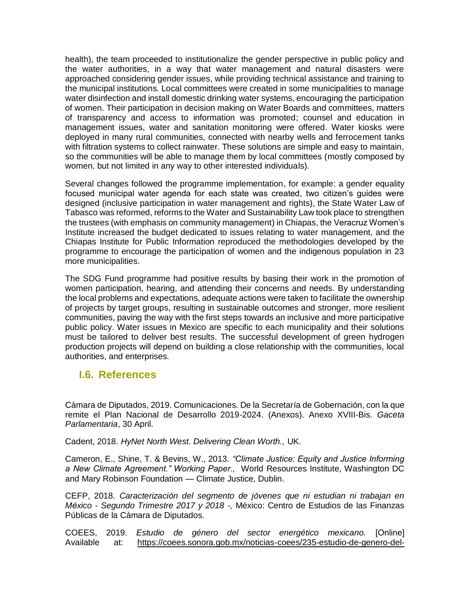health), the team proceeded to institutionalize the gender perspective in public policy and the water authorities, in a way that water management and natural disasters were approached considering gender issues, while providing technical assistance and training to the municipal institutions. Local committees were created in some municipalities to manage water disinfection and install domestic drinking water systems, encouraging the participation of women. Their participation in decision making on Water Boards and committees, matters of transparency and access to information was promoted; counsel and education in management issues, water and sanitation monitoring were offered. Water kiosks were deployed in many rural communities, connected with nearby wells and ferrocement tanks with filtration systems to collect rainwater. These solutions are simple and easy to maintain, so the communities will be able to manage them by local committees (mostly composed by women, but not limited in any way to other interested individuals).

Several changes followed the programme implementation, for example: a gender equality focused municipal water agenda for each state was created, two citizen's guides were designed (inclusive participation in water management and rights), the State Water Law of Tabasco was reformed, reforms to the Water and Sustainability Law took place to strengthen the trustees (with emphasis on community management) in Chiapas, the Veracruz Women's Institute increased the budget dedicated to issues relating to water management, and the Chiapas Institute for Public Information reproduced the methodologies developed by the programme to encourage the participation of women and the indigenous population in 23 more municipalities.

The SDG Fund programme had positive results by basing their work in the promotion of women participation, hearing, and attending their concerns and needs. By understanding the local problems and expectations, adequate actions were taken to facilitate the ownership of projects by target groups, resulting in sustainable outcomes and stronger, more resilient communities, paving the way with the first steps towards an inclusive and more participative public policy. Water issues in Mexico are specific to each municipality and their solutions must be tailored to deliver best results. The successful development of green hydrogen production projects will depend on building a close relationship with the communities, local authorities, and enterprises.

#### **I.6. References**

Cámara de Diputados, 2019. Comunicaciones. De la Secretaría de Gobernación, con la que remite el Plan Nacional de Desarrollo 2019-2024. (Anexos). Anexo XVIII-Bis. *Gaceta Parlamentaria*, 30 April.

Cadent, 2018. *HyNet North West. Delivering Clean Worth.,* UK.

Cameron, E., Shine, T. & Bevins, W., 2013. *"Climate Justice: Equity and Justice Informing a New Climate Agreement." Working Paper.,* World Resources Institute, Washington DC and Mary Robinson Foundation — Climate Justice, Dublin.

CEFP, 2018. *Caracterización del segmento de jóvenes que ni estudian ni trabajan en México - Segundo Trimestre 2017 y 2018 -,* México: Centro de Estudios de las Finanzas Públicas de la Cámara de Diputados.

COEES, 2019. *Estudio de género del sector energético mexicano.* [Online] Available at: https://coees.sonora.gob.mx/noticias-coees/235-estudio-de-genero-del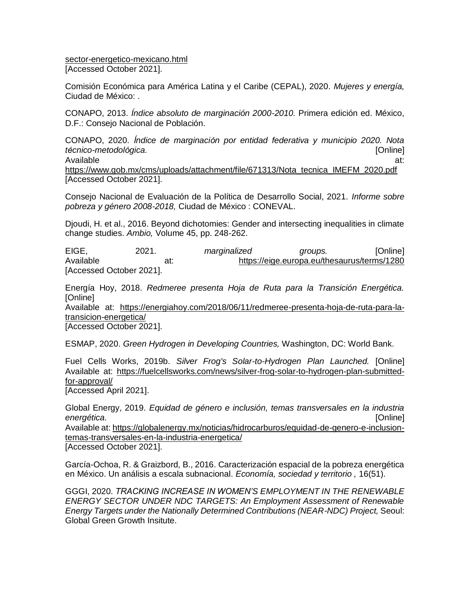sector-energetico-mexicano.html [Accessed October 2021].

Comisión Económica para América Latina y el Caribe (CEPAL), 2020. *Mujeres y energía,*  Ciudad de México: .

CONAPO, 2013. *Índice absoluto de marginación 2000-2010.* Primera edición ed. México, D.F.: Consejo Nacional de Población.

CONAPO, 2020. *Índice de marginación por entidad federativa y municipio 2020. Nota técnico-metodológica.* [Online] Available at:

https://www.gob.mx/cms/uploads/attachment/file/671313/Nota\_tecnica\_IMEFM\_2020.pdf [Accessed October 2021].

Consejo Nacional de Evaluación de la Política de Desarrollo Social, 2021. *Informe sobre pobreza y género 2008-2018,* Ciudad de México : CONEVAL.

Djoudi, H. et al., 2016. Beyond dichotomies: Gender and intersecting inequalities in climate change studies. *Ambio,* Volume 45, pp. 248-262.

EIGE, 2021. *marginalized groups.* [Online] Available at: https://eige.europa.eu/thesaurus/terms/1280 [Accessed October 2021].

Energía Hoy, 2018. *Redmeree presenta Hoja de Ruta para la Transición Energética.*  [Online]

Available at: https://energiahoy.com/2018/06/11/redmeree-presenta-hoja-de-ruta-para-latransicion-energetica/

[Accessed October 2021].

ESMAP, 2020. *Green Hydrogen in Developing Countries,* Washington, DC: World Bank.

Fuel Cells Works, 2019b. *Silver Frog's Solar-to-Hydrogen Plan Launched.* [Online] Available at: https://fuelcellsworks.com/news/silver-frog-solar-to-hydrogen-plan-submittedfor-approval/ [Accessed April 2021].

Global Energy, 2019. *Equidad de género e inclusión, temas transversales en la industria energética.* [Online]

Available at: https://globalenergy.mx/noticias/hidrocarburos/equidad-de-genero-e-inclusiontemas-transversales-en-la-industria-energetica/ [Accessed October 2021].

García-Ochoa, R. & Graizbord, B., 2016. Caracterización espacial de la pobreza energética en México. Un análisis a escala subnacional. *Economía, sociedad y territorio ,* 16(51).

GGGI, 2020. *TRACKING INCREASE IN WOMEN'S EMPLOYMENT IN THE RENEWABLE ENERGY SECTOR UNDER NDC TARGETS: An Employment Assessment of Renewable Energy Targets under the Nationally Determined Contributions (NEAR-NDC) Project,* Seoul: Global Green Growth Insitute.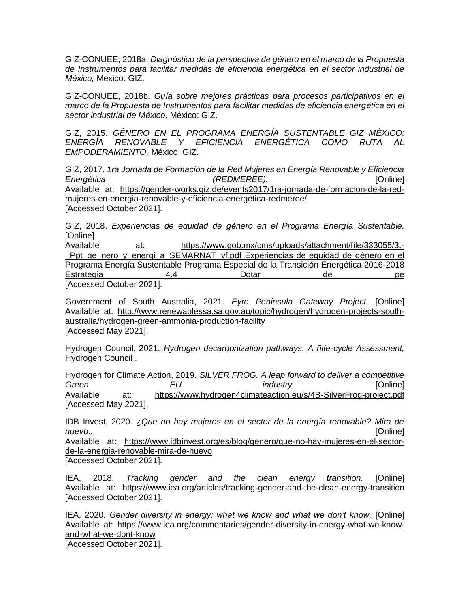GIZ-CONUEE, 2018a. *Diagnóstico de la perspectiva de género en el marco de la Propuesta de Instrumentos para facilitar medidas de eficiencia energé tica en el sector industrial de México,* Mexico: GIZ.

GIZ-CONUEE, 2018b. *Guía sobre mejores prácticas para procesos participativos en el marco de la Propuesta de Instrumentos para facilitar medidas de eficiencia energé tica en el sector industrial de México,* México: GIZ.

GIZ, 2015. *GÉNERO EN EL PROGRAMA ENERGÍA SUSTENTABLE GIZ MÉXICO: ENERGÍA RENOVABLE Y EFICIENCIA ENERGÉTICA COMO RUTA AL EMPODERAMIENTO,* México: GIZ.

GIZ, 2017. *1ra Jornada de Formación de la Red Mujeres en Energía Renovable y Eficiencia Energética (REDMEREE).* [Online] Available at: https://gender-works.giz.de/events2017/1ra-jornada-de-formacion-de-la-redmujeres-en-energia-renovable-y-eficiencia-energetica-redmeree/ [Accessed October 2021].

GIZ, 2018. *Experiencias de equidad de género en el Programa Energía Sustentable.*  [Online]

Available at: https://www.gob.mx/cms/uploads/attachment/file/333055/3.- Ppt ge nero y energi a SEMARNAT vf.pdf Experiencias de equidad de género en el Programa Energía Sustentable Programa Especial de la Transición Energética 2016-2018 Estrategia 4.4 Dotar de pe [Accessed October 2021].

Government of South Australia, 2021. *Eyre Peninsula Gateway Project.* [Online] Available at: http://www.renewablessa.sa.gov.au/topic/hydrogen/hydrogen-projects-southaustralia/hydrogen-green-ammonia-production-facility [Accessed May 2021].

Hydrogen Council, 2021. *Hydrogen decarbonization pathways. A ñife-cycle Assessment,*  Hydrogen Council .

Hydrogen for Climate Action, 2019. *SILVER FROG. A leap forward to deliver a competitive Green EU industry.* [Online] Available at: https://www.hydrogen4climateaction.eu/s/4B-SilverFrog-project.pdf [Accessed May 2021].

IDB Invest, 2020. *¿Que no hay mujeres en el sector de la energía renovable? Mira de nuevo..* [Online] Available at: https://www.idbinvest.org/es/blog/genero/que-no-hay-mujeres-en-el-sectorde-la-energia-renovable-mira-de-nuevo

[Accessed October 2021].

IEA, 2018. *Tracking gender and the clean energy transition.* [Online] Available at: https://www.iea.org/articles/tracking-gender-and-the-clean-energy-transition [Accessed October 2021].

IEA, 2020. *Gender diversity in energy: what we know and what we don't know.* [Online] Available at: https://www.iea.org/commentaries/gender-diversity-in-energy-what-we-knowand-what-we-dont-know

[Accessed October 2021].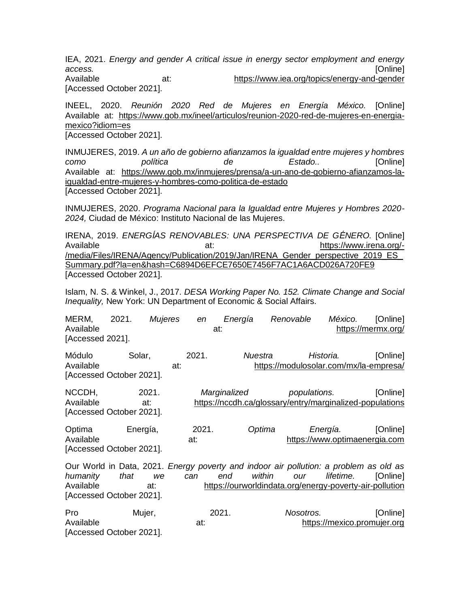IEA, 2021. *Energy and gender A critical issue in energy sector employment and energy access.* [Online] Available at: https://www.iea.org/topics/energy-and-gender [Accessed October 2021].

INEEL, 2020. *Reunión 2020 Red de Mujeres en Energía México.* [Online] Available at: https://www.gob.mx/ineel/articulos/reunion-2020-red-de-mujeres-en-energiamexico?idiom=es [Accessed October 2021].

INMUJERES, 2019. *A un año de gobierno afianzamos la igualdad entre mujeres y hombres como política de Estado..* [Online] Available at: https://www.gob.mx/inmujeres/prensa/a-un-ano-de-gobierno-afianzamos-laigualdad-entre-mujeres-y-hombres-como-politica-de-estado [Accessed October 2021].

INMUJERES, 2020. *Programa Nacional para la Igualdad entre Mujeres y Hombres 2020- 2024,* Ciudad de México: Instituto Nacional de las Mujeres.

IRENA, 2019. *ENERGÍAS RENOVABLES: UNA PERSPECTIVA DE GÉNERO.* [Online] Available at: https://www.irena.org/-/media/Files/IRENA/Agency/Publication/2019/Jan/IRENA\_Gender\_perspective\_2019\_ES\_ Summary.pdf?la=en&hash=C6894D6EFCE7650E7456F7AC1A6ACD026A720FE9 [Accessed October 2021].

Islam, N. S. & Winkel, J., 2017. *DESA Working Paper No. 152. Climate Change and Social Inequality,* New York: UN Department of Economic & Social Affairs.

| MERM,<br>Available<br>[Accessed 2021].            | 2021.    | <b>Mujeres</b> | en           | Energía<br>at: | Renovable | México.          | [Online]<br>https://mermx.org/                                                                                                                               |
|---------------------------------------------------|----------|----------------|--------------|----------------|-----------|------------------|--------------------------------------------------------------------------------------------------------------------------------------------------------------|
| Módulo<br>Available<br>[Accessed October 2021].   | Solar,   | at:            | 2021.        | Nuestra        |           | Historia.        | [Online]<br>https://modulosolar.com/mx/la-empresa/                                                                                                           |
| NCCDH,<br>Available<br>[Accessed October 2021].   |          | 2021.<br>at:   |              | Marginalized   |           | populations.     | [Online]<br>https://nccdh.ca/glossary/entry/marginalized-populations                                                                                         |
| Optima<br>Available<br>[Accessed October 2021].   | Energía, |                | 2021.<br>at: | Optima         |           | Energía.         | [Online]<br>https://www.optimaenergia.com                                                                                                                    |
| humanity<br>Available<br>[Accessed October 2021]. | that     | we<br>at:      | can          | end            | within    | lifetime.<br>our | Our World in Data, 2021. Energy poverty and indoor air pollution: a problem as old as<br>[Online]<br>https://ourworldindata.org/energy-poverty-air-pollution |
| Pro<br>Available<br>[Accessed October 2021].      | Mujer,   |                | at:          | 2021.          |           | Nosotros.        | [Online]<br>https://mexico.promujer.org                                                                                                                      |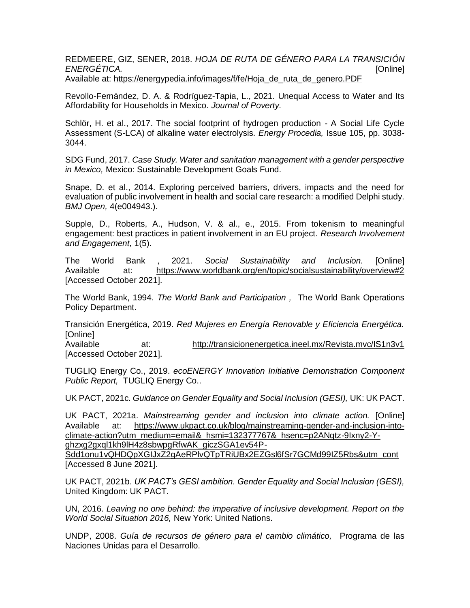REDMEERE, GIZ, SENER, 2018. *HOJA DE RUTA DE GÉNERO PARA LA TRANSICIÓN ENERGÉTICA.* [Online] Available at: https://energypedia.info/images/f/fe/Hoja\_de\_ruta\_de\_genero.PDF

Revollo-Fernández, D. A. & Rodríguez-Tapia, L., 2021. Unequal Access to Water and Its Affordability for Households in Mexico. *Journal of Poverty.*

Schlör, H. et al., 2017. The social footprint of hydrogen production - A Social Life Cycle Assessment (S-LCA) of alkaline water electrolysis. *Energy Procedia,* Issue 105, pp. 3038- 3044.

SDG Fund, 2017. *Case Study. Water and sanitation management with a gender perspective in Mexico,* Mexico: Sustainable Development Goals Fund.

Snape, D. et al., 2014. Exploring perceived barriers, drivers, impacts and the need for evaluation of public involvement in health and social care research: a modified Delphi study. *BMJ Open,* 4(e004943.).

Supple, D., Roberts, A., Hudson, V. & al., e., 2015. From tokenism to meaningful engagement: best practices in patient involvement in an EU project. *Research Involvement and Engagement,* 1(5).

The World Bank , 2021. *Social Sustainability and Inclusion.* [Online] Available at: https://www.worldbank.org/en/topic/socialsustainability/overview#2 [Accessed October 2021].

The World Bank, 1994. *The World Bank and Participation ,* The World Bank Operations Policy Department.

Transición Energética, 2019. *Red Mujeres en Energía Renovable y Eficiencia Energética.*  [Online]

Available at: http://transicionenergetica.ineel.mx/Revista.mvc/IS1n3v1 [Accessed October 2021].

TUGLIQ Energy Co., 2019. *ecoENERGY Innovation Initiative Demonstration Component Public Report,* TUGLIQ Energy Co..

UK PACT, 2021c. *Guidance on Gender Equality and Social Inclusion (GESI),* UK: UK PACT.

UK PACT, 2021a. *Mainstreaming gender and inclusion into climate action.* [Online] Available at: https://www.ukpact.co.uk/blog/mainstreaming-gender-and-inclusion-intoclimate-action?utm\_medium=email&\_hsmi=132377767&\_hsenc=p2ANqtz-9Ixny2-Yghzxg2gxql1kh9lH4z8sbwpgRfwAK\_giczSGA1ev54P-

Sdd1onu1vQHDQpXGIJxZ2gAeRPlvQTpTRiUBx2EZGsl6fSr7GCMd99IZ5Rbs&utm\_cont [Accessed 8 June 2021].

UK PACT, 2021b. *UK PACT's GESI ambition. Gender Equality and Social Inclusion (GESI),*  United Kingdom: UK PACT.

UN, 2016. *Leaving no one behind: the imperative of inclusive development. Report on the World Social Situation 2016,* New York: United Nations.

UNDP, 2008. *Guía de recursos de género para el cambio climático,* Programa de las Naciones Unidas para el Desarrollo.